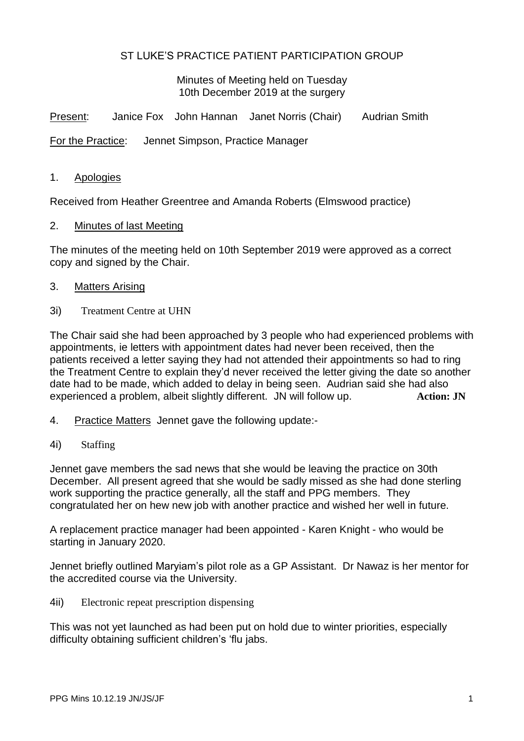# ST LUKE'S PRACTICE PATIENT PARTICIPATION GROUP

Minutes of Meeting held on Tuesday 10th December 2019 at the surgery

Present: Janice Fox John Hannan Janet Norris (Chair) Audrian Smith

For the Practice: Jennet Simpson, Practice Manager

1. Apologies

Received from Heather Greentree and Amanda Roberts (Elmswood practice)

2. Minutes of last Meeting

The minutes of the meeting held on 10th September 2019 were approved as a correct copy and signed by the Chair.

- 3. Matters Arising
- 3i) Treatment Centre at UHN

The Chair said she had been approached by 3 people who had experienced problems with appointments, ie letters with appointment dates had never been received, then the patients received a letter saying they had not attended their appointments so had to ring the Treatment Centre to explain they'd never received the letter giving the date so another date had to be made, which added to delay in being seen. Audrian said she had also experienced a problem, albeit slightly different. JN will follow up. **Action: JN**

- 4. Practice Matters Jennet gave the following update:-
- 4i) Staffing

Jennet gave members the sad news that she would be leaving the practice on 30th December. All present agreed that she would be sadly missed as she had done sterling work supporting the practice generally, all the staff and PPG members. They congratulated her on hew new job with another practice and wished her well in future.

A replacement practice manager had been appointed - Karen Knight - who would be starting in January 2020.

Jennet briefly outlined Maryiam's pilot role as a GP Assistant. Dr Nawaz is her mentor for the accredited course via the University.

4ii) Electronic repeat prescription dispensing

This was not yet launched as had been put on hold due to winter priorities, especially difficulty obtaining sufficient children's 'flu jabs.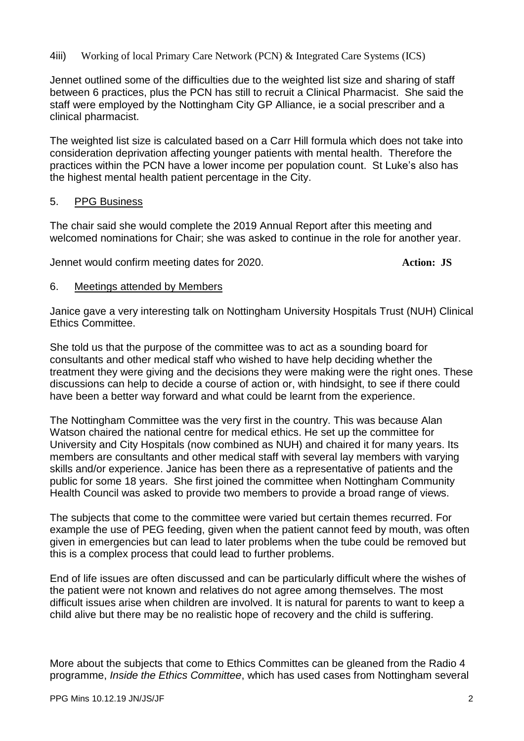# 4iii) Working of local Primary Care Network (PCN) & Integrated Care Systems (ICS)

Jennet outlined some of the difficulties due to the weighted list size and sharing of staff between 6 practices, plus the PCN has still to recruit a Clinical Pharmacist. She said the staff were employed by the Nottingham City GP Alliance, ie a social prescriber and a clinical pharmacist.

The weighted list size is calculated based on a Carr Hill formula which does not take into consideration deprivation affecting younger patients with mental health. Therefore the practices within the PCN have a lower income per population count. St Luke's also has the highest mental health patient percentage in the City.

# 5. PPG Business

The chair said she would complete the 2019 Annual Report after this meeting and welcomed nominations for Chair; she was asked to continue in the role for another year.

Jennet would confirm meeting dates for 2020. **Action: JS**

#### 6. Meetings attended by Members

Janice gave a very interesting talk on Nottingham University Hospitals Trust (NUH) Clinical Ethics Committee.

She told us that the purpose of the committee was to act as a sounding board for consultants and other medical staff who wished to have help deciding whether the treatment they were giving and the decisions they were making were the right ones. These discussions can help to decide a course of action or, with hindsight, to see if there could have been a better way forward and what could be learnt from the experience.

The Nottingham Committee was the very first in the country. This was because Alan Watson chaired the national centre for medical ethics. He set up the committee for University and City Hospitals (now combined as NUH) and chaired it for many years. Its members are consultants and other medical staff with several lay members with varying skills and/or experience. Janice has been there as a representative of patients and the public for some 18 years. She first joined the committee when Nottingham Community Health Council was asked to provide two members to provide a broad range of views.

The subjects that come to the committee were varied but certain themes recurred. For example the use of PEG feeding, given when the patient cannot feed by mouth, was often given in emergencies but can lead to later problems when the tube could be removed but this is a complex process that could lead to further problems.

End of life issues are often discussed and can be particularly difficult where the wishes of the patient were not known and relatives do not agree among themselves. The most difficult issues arise when children are involved. It is natural for parents to want to keep a child alive but there may be no realistic hope of recovery and the child is suffering.

More about the subjects that come to Ethics Committes can be gleaned from the Radio 4 programme, *Inside the Ethics Committee*, which has used cases from Nottingham several